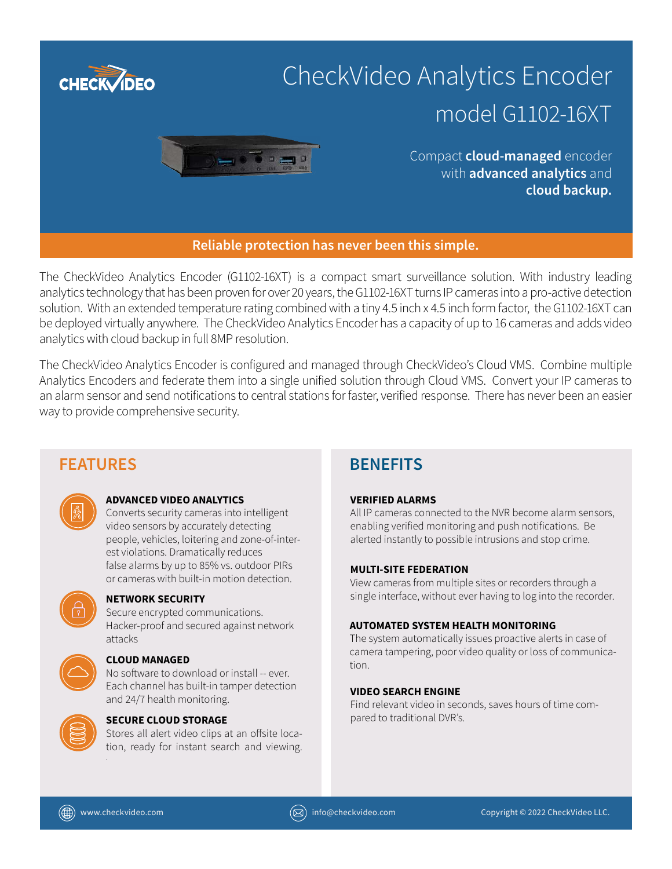

The CheckVideo Analytics Encoder (G1102-16XT) is a compact smart surveillance solution. With industry leading analytics technology that has been proven for over 20 years, the G1102-16XT turns IP cameras into a pro-active detection solution. With an extended temperature rating combined with a tiny 4.5 inch x 4.5 inch form factor, the G1102-16XT can be deployed virtually anywhere. The CheckVideo Analytics Encoder has a capacity of up to 16 cameras and adds video analytics with cloud backup in full 8MP resolution.

The CheckVideo Analytics Encoder is configured and managed through CheckVideo's Cloud VMS. Combine multiple Analytics Encoders and federate them into a single unified solution through Cloud VMS. Convert your IP cameras to an alarm sensor and send notifications to central stations for faster, verified response. There has never been an easier way to provide comprehensive security.

# **FEATURES BENEFITS**



# **ADVANCED VIDEO ANALYTICS**

Converts security cameras into intelligent video sensors by accurately detecting people, vehicles, loitering and zone-of-interest violations. Dramatically reduces false alarms by up to 85% vs. outdoor PIRs or cameras with built-in motion detection.



# **NETWORK SECURITY**

Secure encrypted communications. Hacker-proof and secured against network attacks



# **CLOUD MANAGED**

No software to download or install -- ever. Each channel has built-in tamper detection and 24/7 health monitoring.



# **SECURE CLOUD STORAGE**

Stores all alert video clips at an offsite location, ready for instant search and viewing. .

# **VERIFIED ALARMS**

All IP cameras connected to the NVR become alarm sensors, enabling verified monitoring and push notifications. Be alerted instantly to possible intrusions and stop crime.

# **MULTI-SITE FEDERATION**

View cameras from multiple sites or recorders through a single interface, without ever having to log into the recorder.

### **AUTOMATED SYSTEM HEALTH MONITORING**

The system automatically issues proactive alerts in case of camera tampering, poor video quality or loss of communication.

# **VIDEO SEARCH ENGINE**

Find relevant video in seconds, saves hours of time compared to traditional DVR's.